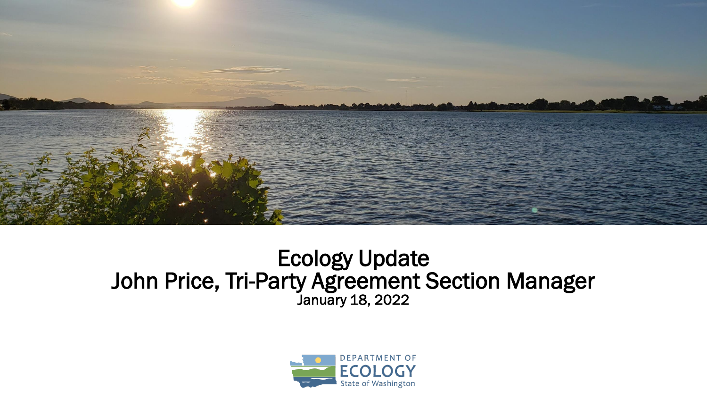

#### Ecology Update John Price, Tri-Party Agreement Section Manager January 18, 2022

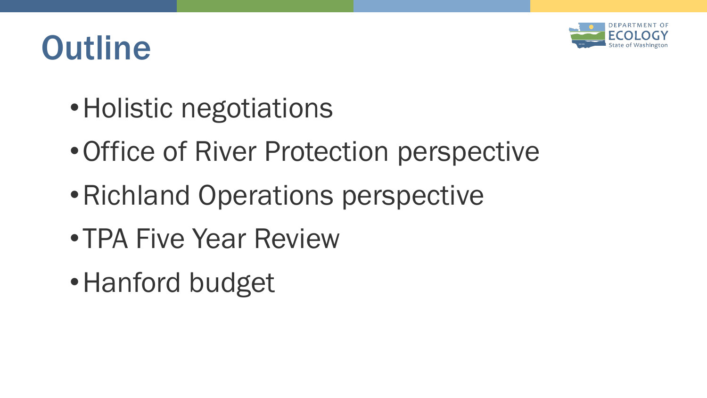

# **Outline**

- Holistic negotiations
- •Office of River Protection perspective
- •Richland Operations perspective
- •TPA Five Year Review
- •Hanford budget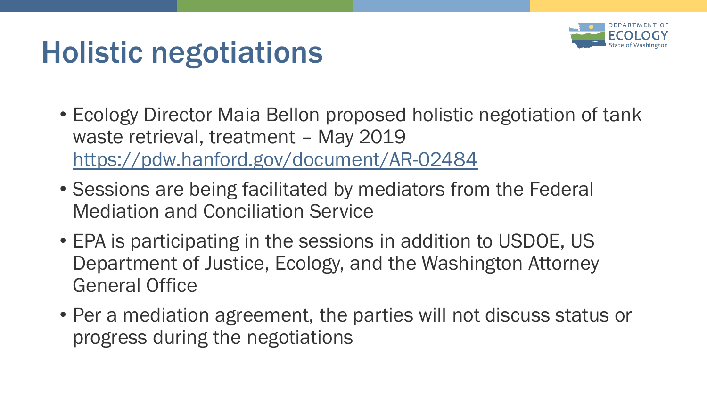

# Holistic negotiations

- Ecology Director Maia Bellon proposed holistic negotiation of tank waste retrieval, treatment – May 2019 <https://pdw.hanford.gov/document/AR-02484>
- Sessions are being facilitated by mediators from the Federal Mediation and Conciliation Service
- EPA is participating in the sessions in addition to USDOE, US Department of Justice, Ecology, and the Washington Attorney General Office
- Per a mediation agreement, the parties will not discuss status or progress during the negotiations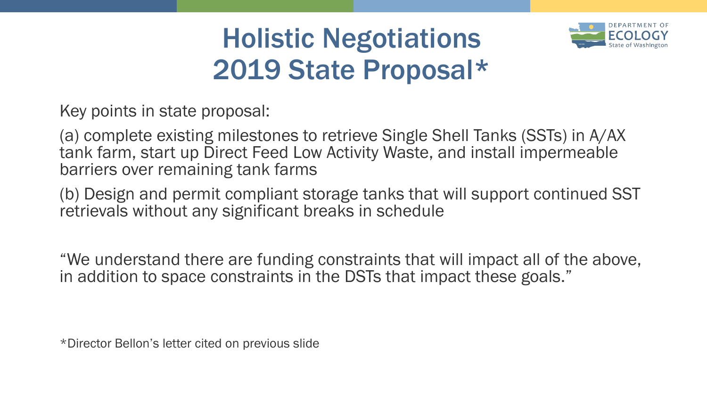### Holistic Negotiations 2019 State Proposal\*



Key points in state proposal:

(a) complete existing milestones to retrieve Single Shell Tanks (SSTs) in A/AX tank farm, start up Direct Feed Low Activity Waste, and install impermeable barriers over remaining tank farms

(b) Design and permit compliant storage tanks that will support continued SST retrievals without any significant breaks in schedule

"We understand there are funding constraints that will impact all of the above, in addition to space constraints in the DSTs that impact these goals."

\*Director Bellon's letter cited on previous slide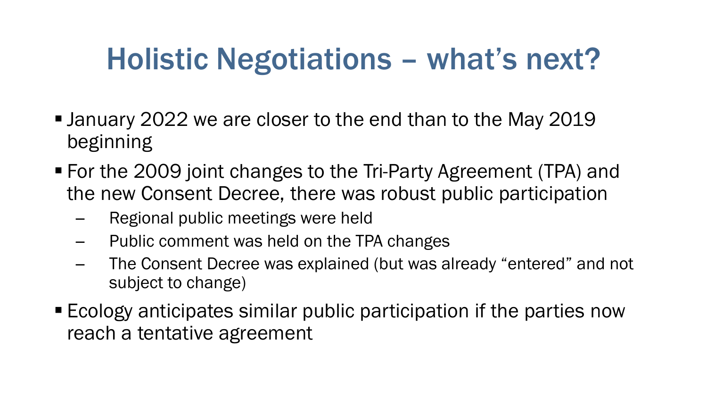# Holistic Negotiations – what's next?

- January 2022 we are closer to the end than to the May 2019 beginning
- For the 2009 joint changes to the Tri-Party Agreement (TPA) and the new Consent Decree, there was robust public participation
	- Regional public meetings were held
	- ̶ Public comment was held on the TPA changes
	- ̶ The Consent Decree was explained (but was already "entered" and not subject to change)
- Ecology anticipates similar public participation if the parties now reach a tentative agreement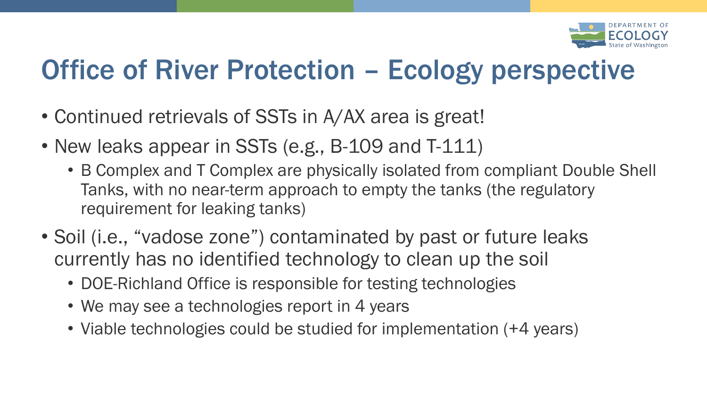

### Office of River Protection – Ecology perspective

- Continued retrievals of SSTs in A/AX area is great!
- New leaks appear in SSTs (e.g., B-109 and T-111)
	- B Complex and T Complex are physically isolated from compliant Double Shell Tanks, with no near-term approach to empty the tanks (the regulatory requirement for leaking tanks)
- Soil (i.e., "vadose zone") contaminated by past or future leaks currently has no identified technology to clean up the soil
	- DOE-Richland Office is responsible for testing technologies
	- We may see a technologies report in 4 years
	- Viable technologies could be studied for implementation (+4 years)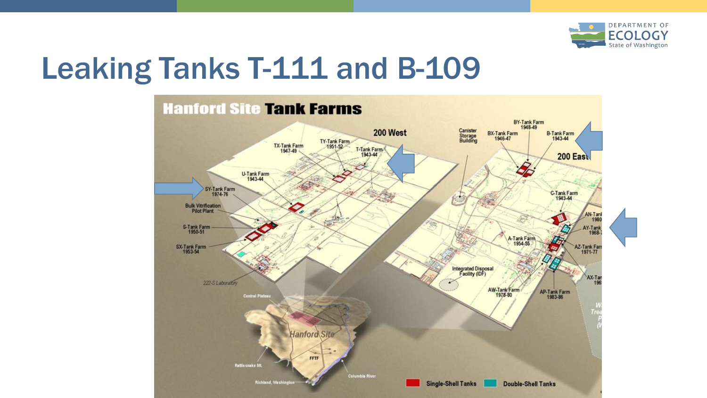

### Leaking Tanks T-111 and B-109

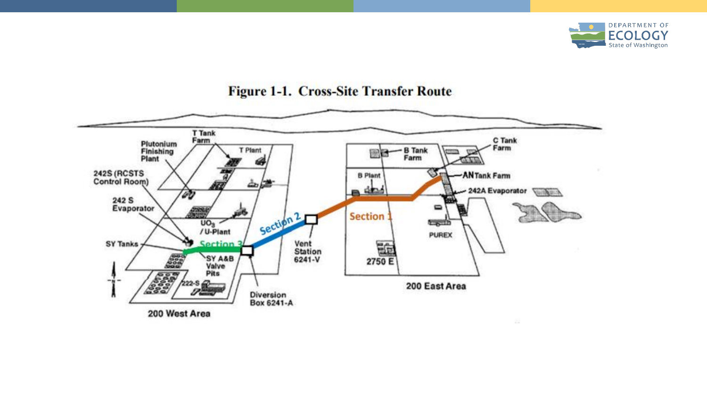

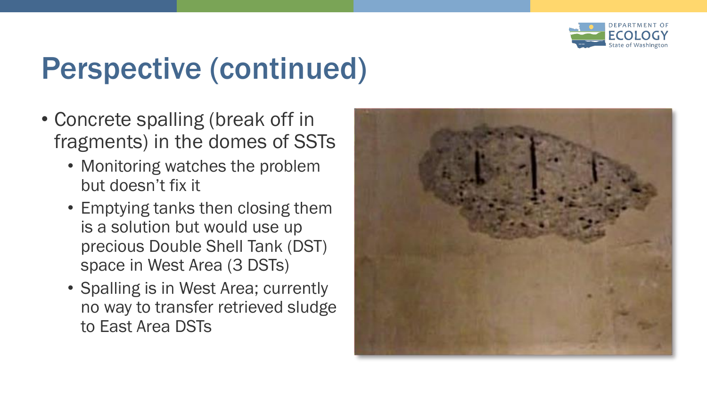

# Perspective (continued)

- Concrete spalling (break off in fragments) in the domes of SSTs
	- Monitoring watches the problem but doesn't fix it
	- Emptying tanks then closing them is a solution but would use up precious Double Shell Tank (DST) space in West Area (3 DSTs)
	- Spalling is in West Area; currently no way to transfer retrieved sludge to East Area DSTs

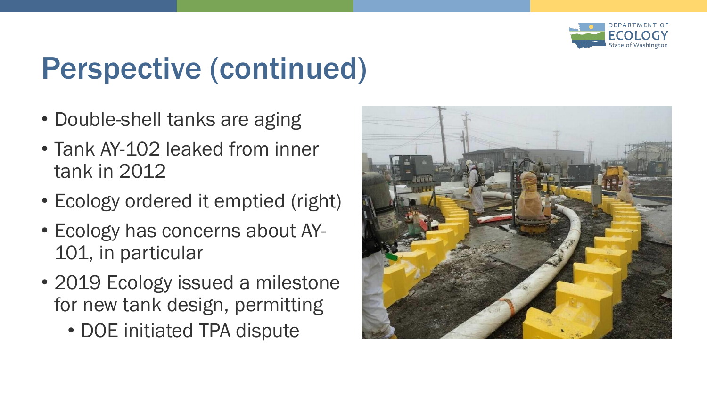

# Perspective (continued)

- Double-shell tanks are aging
- Tank AY-102 leaked from inner tank in 2012
- Ecology ordered it emptied (right)
- Ecology has concerns about AY-101, in particular
- 2019 Ecology issued a milestone for new tank design, permitting
	- DOE initiated TPA dispute

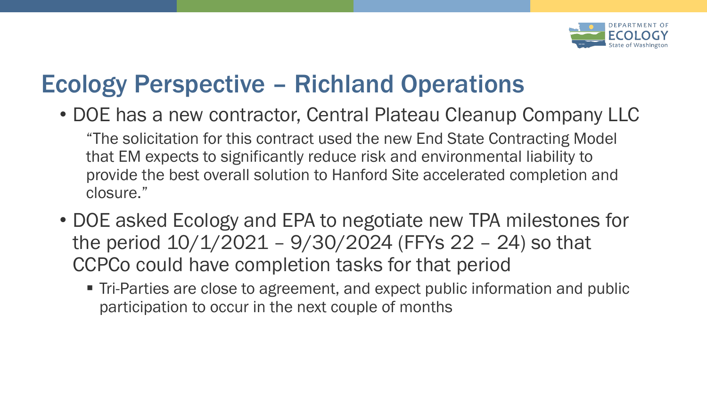

#### Ecology Perspective – Richland Operations

• DOE has a new contractor, Central Plateau Cleanup Company LLC

"The solicitation for this contract used the new End State Contracting Model that EM expects to significantly reduce risk and environmental liability to provide the best overall solution to Hanford Site accelerated completion and closure."

- DOE asked Ecology and EPA to negotiate new TPA milestones for the period  $10/1/2021 - 9/30/2024$  (FFYs 22 - 24) so that CCPCo could have completion tasks for that period
	- Tri-Parties are close to agreement, and expect public information and public participation to occur in the next couple of months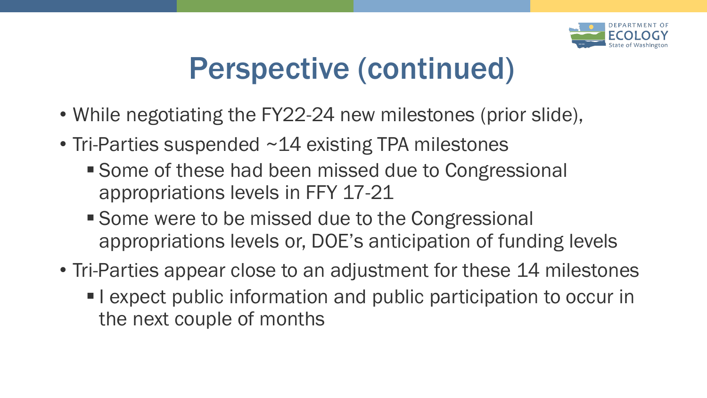

# Perspective (continued)

- While negotiating the FY22-24 new milestones (prior slide),
- Tri-Parties suspended ~14 existing TPA milestones
	- Some of these had been missed due to Congressional appropriations levels in FFY 17-21
	- Some were to be missed due to the Congressional appropriations levels or, DOE's anticipation of funding levels
- Tri-Parties appear close to an adjustment for these 14 milestones
	- I expect public information and public participation to occur in the next couple of months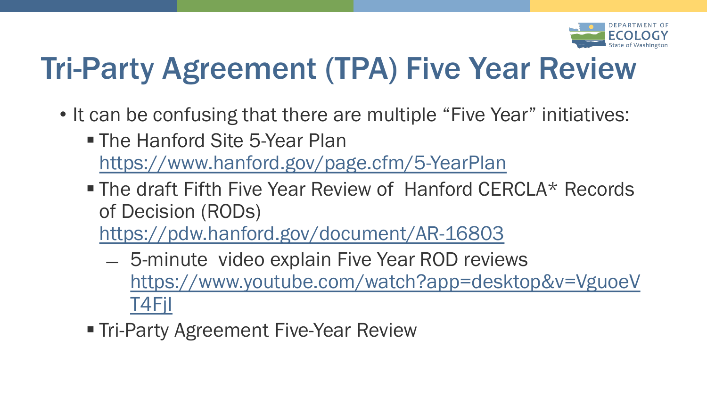

# Tri-Party Agreement (TPA) Five Year Review

- It can be confusing that there are multiple "Five Year" initiatives:
	- The Hanford Site 5-Year Plan <https://www.hanford.gov/page.cfm/5-YearPlan>
	- **The draft Fifth Five Year Review of Hanford CERCLA\* Records** of Decision (RODs)

<https://pdw.hanford.gov/document/AR-16803>

- ̶ 5-minute video explain Five Year ROD reviews [https://www.youtube.com/watch?app=desktop&v=VguoeV](https://www.youtube.com/watch?app=desktop&v=VguoeVT4FjI) T4FjI
- **Tri-Party Agreement Five-Year Review**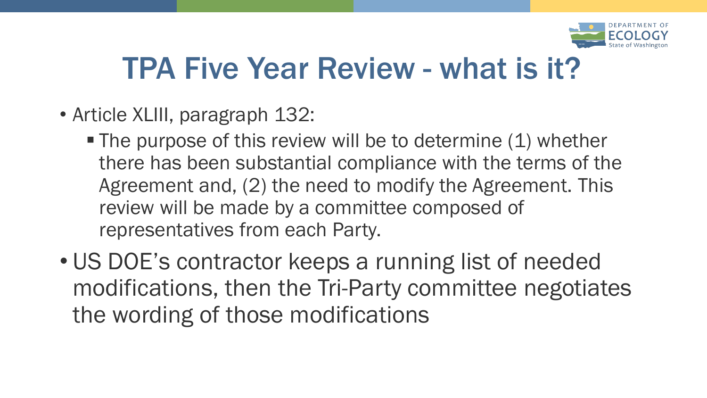

### TPA Five Year Review - what is it?

- Article XLIII, paragraph 132:
	- $\blacksquare$  The purpose of this review will be to determine (1) whether there has been substantial compliance with the terms of the Agreement and, (2) the need to modify the Agreement. This review will be made by a committee composed of representatives from each Party.
- US DOE's contractor keeps a running list of needed modifications, then the Tri-Party committee negotiates the wording of those modifications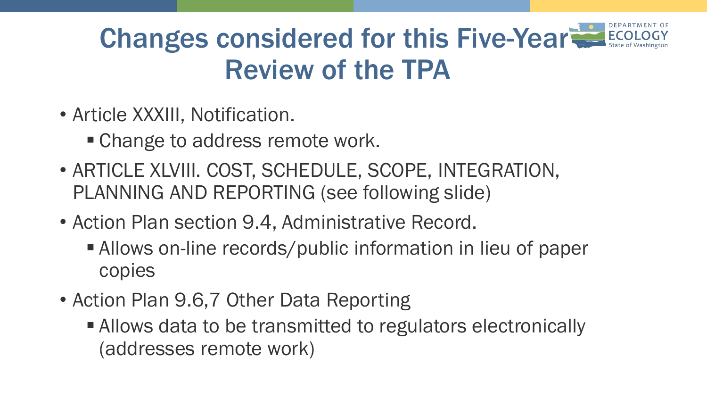### Changes considered for this Five-Year Review of the TPA

- Article XXXIII, Notification.
	- Change to address remote work.
- ARTICLE XLVIII. COST, SCHEDULE, SCOPE, INTEGRATION, PLANNING AND REPORTING (see following slide)
- Action Plan section 9.4, Administrative Record.
	- Allows on-line records/public information in lieu of paper copies
- Action Plan 9.6,7 Other Data Reporting
	- Allows data to be transmitted to regulators electronically (addresses remote work)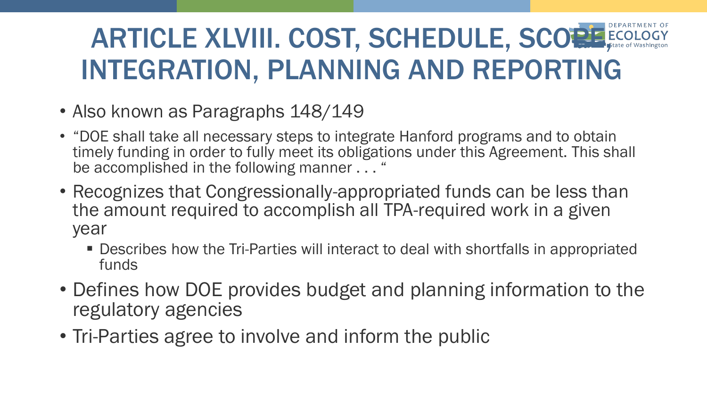### ARTICLE XLVIII. COST, SCHEDULE, SCOPE, ECOLO INTEGRATION, PLANNING AND REPORTING

- Also known as Paragraphs 148/149
- "DOE shall take all necessary steps to integrate Hanford programs and to obtain timely funding in order to fully meet its obligations under this Agreement. This shall be accomplished in the following manner . . . "
- Recognizes that Congressionally-appropriated funds can be less than the amount required to accomplish all TPA-required work in a given year
	- **Describes how the Tri-Parties will interact to deal with shortfalls in appropriated** funds
- Defines how DOE provides budget and planning information to the regulatory agencies
- Tri-Parties agree to involve and inform the public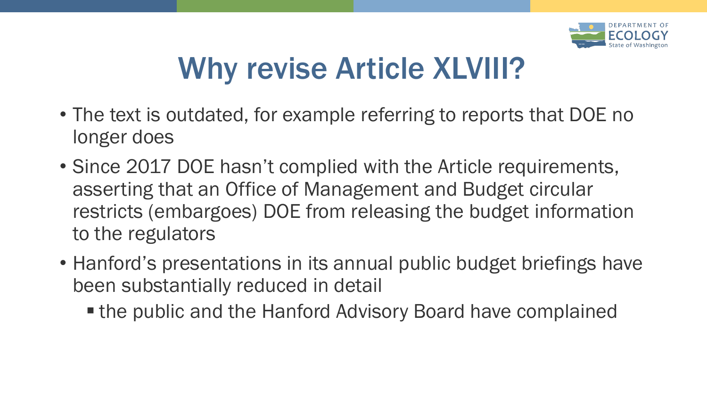

# Why revise Article XLVIII?

- The text is outdated, for example referring to reports that DOE no longer does
- Since 2017 DOE hasn't complied with the Article requirements, asserting that an Office of Management and Budget circular restricts (embargoes) DOE from releasing the budget information to the regulators
- Hanford's presentations in its annual public budget briefings have been substantially reduced in detail
	- the public and the Hanford Advisory Board have complained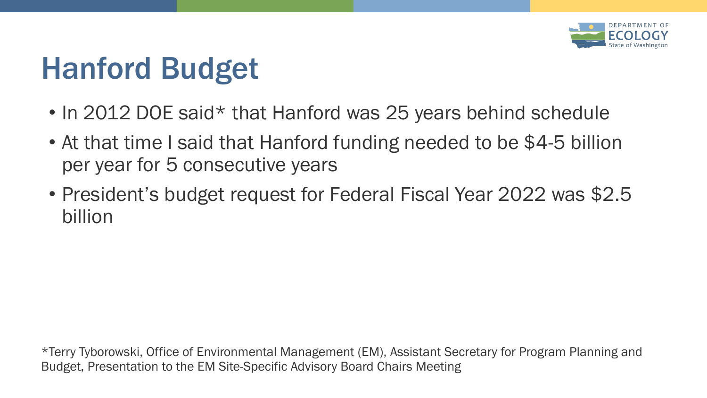

# Hanford Budget

- In 2012 DOE said\* that Hanford was 25 years behind schedule
- At that time I said that Hanford funding needed to be \$4-5 billion per year for 5 consecutive years
- President's budget request for Federal Fiscal Year 2022 was \$2.5 billion

\*Terry Tyborowski, Office of Environmental Management (EM), Assistant Secretary for Program Planning and Budget, Presentation to the EM Site-Specific Advisory Board Chairs Meeting